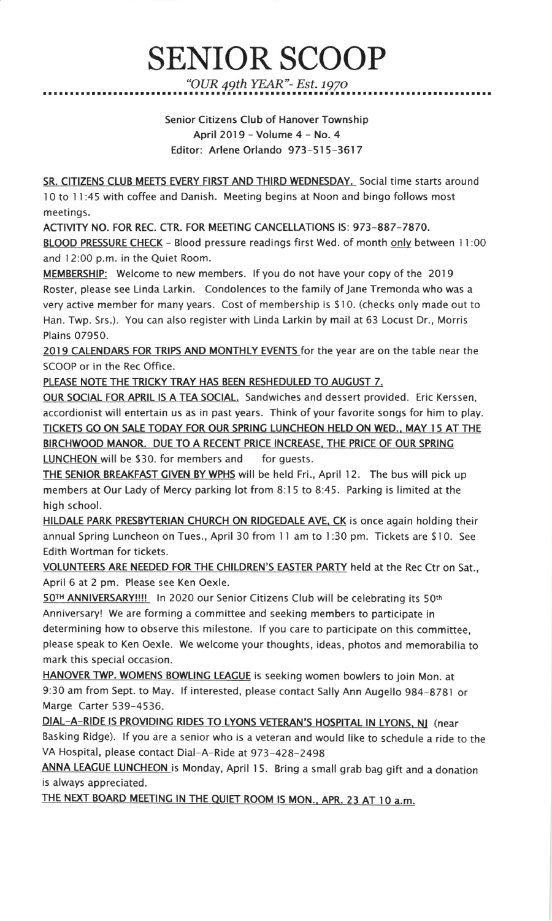## **SENIOR SCOOP** "OUR 49th YEAR"- Est. 1970

Senior Citizens Club of Hanover Township April 20I9 - Volume 4 - No. 4 Editor: Arlene Orlando 973-515-3617

SR. CITIZENS CLUB MEETS EVERY FIRST AND THIRD WEDNESDAY. Social time starts around 10 to I I :45 with coffee and Danish. Meeting begins at Noon and bingo follows most meetings.

ACTIVITY NO. FOR REC. CTR. FOR MEETING CANCELLATIONS lS: 973-887-7870. BLOOD PRESSURE CHECK - Blood pressure readings first Wed. of month only between 11:00 and 12:00 p.m. in the Quiet Room.

MEMBERSHIP: Welcome to new members. lf you do not have your copy of the 2019 Roster, please see Linda Larkin. Condolences to the family of Jane Tremonda who was <sup>a</sup> very active member for many years. Cost of membership is \$10. (checks only made out to Han. Twp. Srs.). You can also register with Linda Larkin by mail at 63 Locust Dr., Morris Plains 07950.

2019 CALENDARS FOR TRIPS AND MONTHLY EVENTS for the year are on the table near the SCOOP or in the Rec Office.

PLEASE NOTE THE TRICKY TRAY HAS BEEN RESHEDULED TO AUGUST 7.

OUR SOCIAL FOR APRIL lS A TEA SOCIAL. Sandwiches and dessert provided. Eric Kerssen, accordionist will entertain us as in past years. Think of your favorite songs for him to play. TICKETS GO ON SALE TODAY FOR OUR SPRING LUNCHEON HELD ON WED., MAY 15 AT THE E TO A RECENT PRICE INCREASE, THE PRICE OF OUR SP LUNCHEON will be \$30. for members and for guests.

THE SENIOR BREAKFAST GIVEN BY WPHS will be held Fri., April 12. The bus will pick up members at Our Lady of Mercy parking lot from 8:15 to 8:45. Parking is limited at the high school.

HILDALE PARK PRESBYTERIAN CHURCH ON RIDGEDALE AVE, CK is once again holding their annual Spring Luncheon on Tues., April 30 from 11 am to 1:30 pm. Tickets are \$10. See Edith wortman for tickets.

VOLUNTEERS ARE NEEDED FORTHE CHILDREN'S EASTER PARTY held at the Rec Ctr on Sat., April 6 at 2 pm. Please see Ken Oexle.

50TH ANNIVERSARY!!!! In 2020 our Senior Citizens Club will be celebrating its 50th Anniversaryl We are forming a committee and seeking members to participate in determining how to observe this milestone. lf you care to participate on this committee, please speak to Ken Oexle. We welcome your thoughts, ideas, photos and memorabilia to mark this special occasion.

HANOVER TWP. WOMENS BOWLING LEAGUE is seeking women bowlers to join Mon. at 9:30 am from Sept. to May. lf interested, please contact Sally Ann Augello 984-8781 or Marge Carter 539-4536.

<u>DIAL-A-RIDE IS PROVIDING RIDES TO LYONS VETERAN'S HOSPITAL IN LYONS, NJ</u> (near Basking Ridge). lf you are a senior who is a veteran and would like to schedule a ride to the VA Hospital, please contact Dial-A-Ride ar 973-428-2499

ANNA LEAGUE LUNCHEON is Monday, April 15. Bring a small grab bag gift and a donation is always appreciated.

THE NEXT BOARD MEETING IN THE QUIET ROOM IS MON., APR. 23 AT 10 a.m.